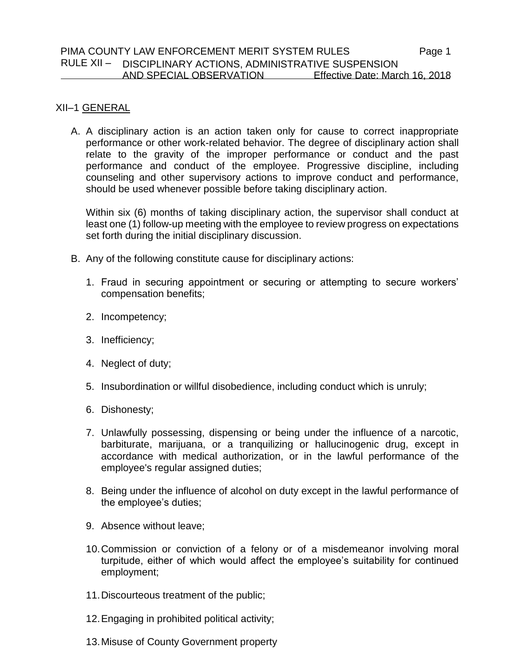#### PIMA COUNTY LAW ENFORCEMENT MERIT SYSTEM RULES Page 1 RULE XII – DISCIPLINARY ACTIONS, ADMINISTRATIVE SUSPENSION  $\overline{a}$ AND SPECIAL OBSERVATION Effective Date: March 16, 2018

# XII–1 GENERAL

A. A disciplinary action is an action taken only for cause to correct inappropriate performance or other work-related behavior. The degree of disciplinary action shall relate to the gravity of the improper performance or conduct and the past performance and conduct of the employee. Progressive discipline, including counseling and other supervisory actions to improve conduct and performance, should be used whenever possible before taking disciplinary action.

Within six (6) months of taking disciplinary action, the supervisor shall conduct at least one (1) follow-up meeting with the employee to review progress on expectations set forth during the initial disciplinary discussion.

- B. Any of the following constitute cause for disciplinary actions:
	- 1. Fraud in securing appointment or securing or attempting to secure workers' compensation benefits;
	- 2. Incompetency;
	- 3. Inefficiency;
	- 4. Neglect of duty;
	- 5. Insubordination or willful disobedience, including conduct which is unruly;
	- 6. Dishonesty;
	- 7. Unlawfully possessing, dispensing or being under the influence of a narcotic, barbiturate, marijuana, or a tranquilizing or hallucinogenic drug, except in accordance with medical authorization, or in the lawful performance of the employee's regular assigned duties;
	- 8. Being under the influence of alcohol on duty except in the lawful performance of the employee's duties;
	- 9. Absence without leave;
	- 10.Commission or conviction of a felony or of a misdemeanor involving moral turpitude, either of which would affect the employee's suitability for continued employment;
	- 11.Discourteous treatment of the public;
	- 12.Engaging in prohibited political activity;
	- 13.Misuse of County Government property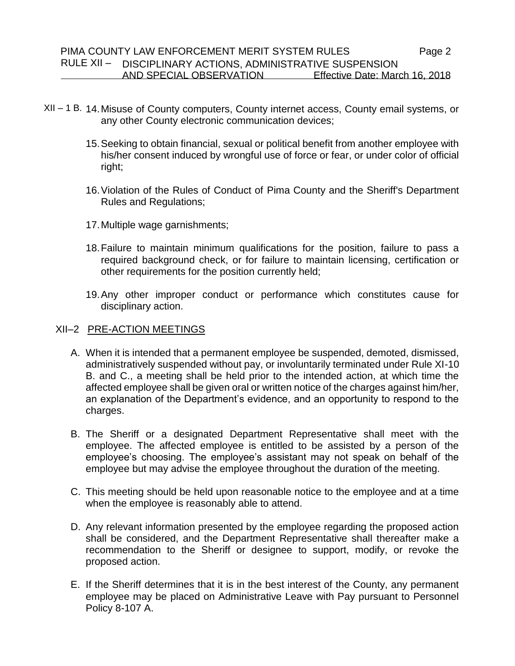- XII 1 B. 14.Misuse of County computers, County internet access, County email systems, or any other County electronic communication devices;
	- 15.Seeking to obtain financial, sexual or political benefit from another employee with his/her consent induced by wrongful use of force or fear, or under color of official right;
	- 16.Violation of the Rules of Conduct of Pima County and the Sheriff's Department Rules and Regulations;
	- 17.Multiple wage garnishments;
	- 18.Failure to maintain minimum qualifications for the position, failure to pass a required background check, or for failure to maintain licensing, certification or other requirements for the position currently held;
	- 19.Any other improper conduct or performance which constitutes cause for disciplinary action.

# XII–2 PRE-ACTION MEETINGS

- A. When it is intended that a permanent employee be suspended, demoted, dismissed, administratively suspended without pay, or involuntarily terminated under Rule XI-10 B. and C., a meeting shall be held prior to the intended action, at which time the affected employee shall be given oral or written notice of the charges against him/her, an explanation of the Department's evidence, and an opportunity to respond to the charges.
- B. The Sheriff or a designated Department Representative shall meet with the employee. The affected employee is entitled to be assisted by a person of the employee's choosing. The employee's assistant may not speak on behalf of the employee but may advise the employee throughout the duration of the meeting.
- C. This meeting should be held upon reasonable notice to the employee and at a time when the employee is reasonably able to attend.
- D. Any relevant information presented by the employee regarding the proposed action shall be considered, and the Department Representative shall thereafter make a recommendation to the Sheriff or designee to support, modify, or revoke the proposed action.
- E. If the Sheriff determines that it is in the best interest of the County, any permanent employee may be placed on Administrative Leave with Pay pursuant to Personnel Policy 8-107 A.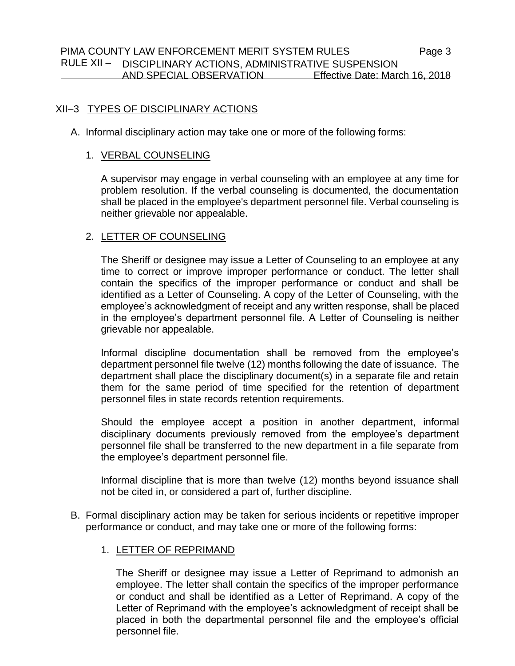# XII–3 TYPES OF DISCIPLINARY ACTIONS

A. Informal disciplinary action may take one or more of the following forms:

### 1. VERBAL COUNSELING

A supervisor may engage in verbal counseling with an employee at any time for problem resolution. If the verbal counseling is documented, the documentation shall be placed in the employee's department personnel file. Verbal counseling is neither grievable nor appealable.

# 2. LETTER OF COUNSELING

The Sheriff or designee may issue a Letter of Counseling to an employee at any time to correct or improve improper performance or conduct. The letter shall contain the specifics of the improper performance or conduct and shall be identified as a Letter of Counseling. A copy of the Letter of Counseling, with the employee's acknowledgment of receipt and any written response, shall be placed in the employee's department personnel file. A Letter of Counseling is neither grievable nor appealable.

Informal discipline documentation shall be removed from the employee's department personnel file twelve (12) months following the date of issuance. The department shall place the disciplinary document(s) in a separate file and retain them for the same period of time specified for the retention of department personnel files in state records retention requirements.

Should the employee accept a position in another department, informal disciplinary documents previously removed from the employee's department personnel file shall be transferred to the new department in a file separate from the employee's department personnel file.

Informal discipline that is more than twelve (12) months beyond issuance shall not be cited in, or considered a part of, further discipline.

B. Formal disciplinary action may be taken for serious incidents or repetitive improper performance or conduct, and may take one or more of the following forms:

# 1. LETTER OF REPRIMAND

The Sheriff or designee may issue a Letter of Reprimand to admonish an employee. The letter shall contain the specifics of the improper performance or conduct and shall be identified as a Letter of Reprimand. A copy of the Letter of Reprimand with the employee's acknowledgment of receipt shall be placed in both the departmental personnel file and the employee's official personnel file.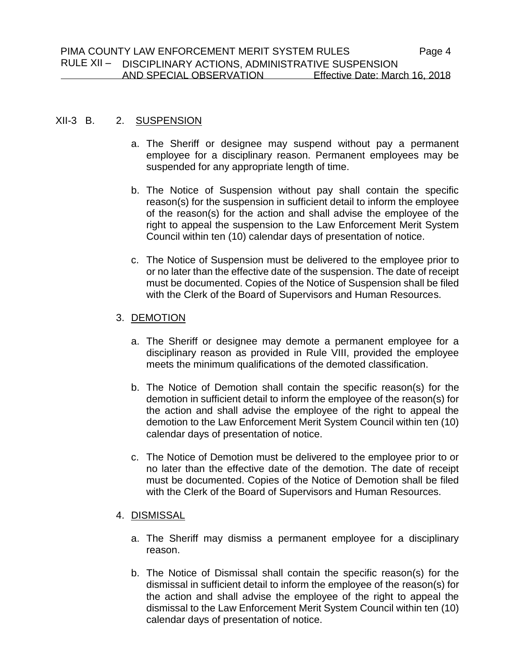### XII-3 B. 2. SUSPENSION

- a. The Sheriff or designee may suspend without pay a permanent employee for a disciplinary reason. Permanent employees may be suspended for any appropriate length of time.
- b. The Notice of Suspension without pay shall contain the specific reason(s) for the suspension in sufficient detail to inform the employee of the reason(s) for the action and shall advise the employee of the right to appeal the suspension to the Law Enforcement Merit System Council within ten (10) calendar days of presentation of notice.
- c. The Notice of Suspension must be delivered to the employee prior to or no later than the effective date of the suspension. The date of receipt must be documented. Copies of the Notice of Suspension shall be filed with the Clerk of the Board of Supervisors and Human Resources.

### 3. DEMOTION

- a. The Sheriff or designee may demote a permanent employee for a disciplinary reason as provided in Rule VIII, provided the employee meets the minimum qualifications of the demoted classification.
- b. The Notice of Demotion shall contain the specific reason(s) for the demotion in sufficient detail to inform the employee of the reason(s) for the action and shall advise the employee of the right to appeal the demotion to the Law Enforcement Merit System Council within ten (10) calendar days of presentation of notice.
- c. The Notice of Demotion must be delivered to the employee prior to or no later than the effective date of the demotion. The date of receipt must be documented. Copies of the Notice of Demotion shall be filed with the Clerk of the Board of Supervisors and Human Resources.

### 4. DISMISSAL

- a. The Sheriff may dismiss a permanent employee for a disciplinary reason.
- b. The Notice of Dismissal shall contain the specific reason(s) for the dismissal in sufficient detail to inform the employee of the reason(s) for the action and shall advise the employee of the right to appeal the dismissal to the Law Enforcement Merit System Council within ten (10) calendar days of presentation of notice.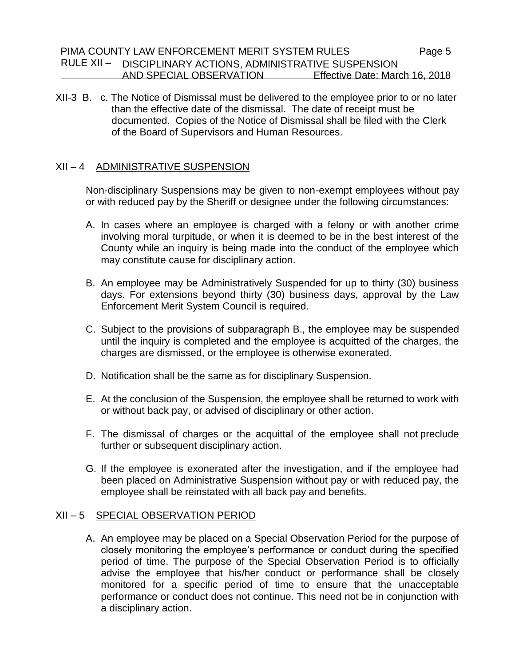XII-3 B. c. The Notice of Dismissal must be delivered to the employee prior to or no later than the effective date of the dismissal. The date of receipt must be documented. Copies of the Notice of Dismissal shall be filed with the Clerk of the Board of Supervisors and Human Resources.

# XII – 4 ADMINISTRATIVE SUSPENSION

Non-disciplinary Suspensions may be given to non-exempt employees without pay or with reduced pay by the Sheriff or designee under the following circumstances:

- A. In cases where an employee is charged with a felony or with another crime involving moral turpitude, or when it is deemed to be in the best interest of the County while an inquiry is being made into the conduct of the employee which may constitute cause for disciplinary action.
- B. An employee may be Administratively Suspended for up to thirty (30) business days. For extensions beyond thirty (30) business days, approval by the Law Enforcement Merit System Council is required.
- C. Subject to the provisions of subparagraph B., the employee may be suspended until the inquiry is completed and the employee is acquitted of the charges, the charges are dismissed, or the employee is otherwise exonerated.
- D. Notification shall be the same as for disciplinary Suspension.
- E. At the conclusion of the Suspension, the employee shall be returned to work with or without back pay, or advised of disciplinary or other action.
- F. The dismissal of charges or the acquittal of the employee shall not preclude further or subsequent disciplinary action.
- G. If the employee is exonerated after the investigation, and if the employee had been placed on Administrative Suspension without pay or with reduced pay, the employee shall be reinstated with all back pay and benefits.

### XII – 5 SPECIAL OBSERVATION PERIOD

A. An employee may be placed on a Special Observation Period for the purpose of closely monitoring the employee's performance or conduct during the specified period of time. The purpose of the Special Observation Period is to officially advise the employee that his/her conduct or performance shall be closely monitored for a specific period of time to ensure that the unacceptable performance or conduct does not continue. This need not be in conjunction with a disciplinary action.